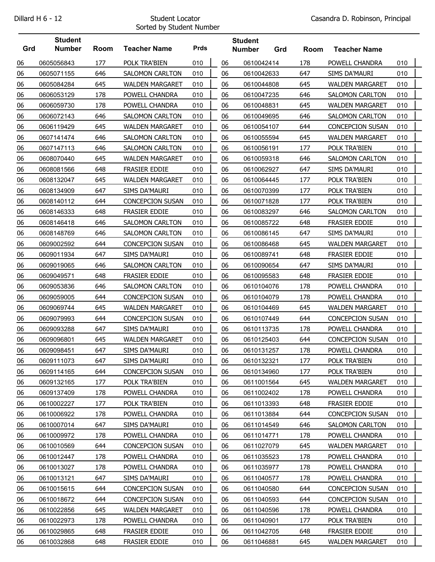## Sorted by Student Number

|     | <b>Student</b> |      |                         |             |    | <b>Student</b> |     |      |                         |     |  |
|-----|----------------|------|-------------------------|-------------|----|----------------|-----|------|-------------------------|-----|--|
| Grd | <b>Number</b>  | Room | <b>Teacher Name</b>     | <b>Prds</b> |    | <b>Number</b>  | Grd | Room | <b>Teacher Name</b>     |     |  |
| 06  | 0605056843     | 177  | POLK TRA'BIEN           | 010         | 06 | 0610042414     |     | 178  | POWELL CHANDRA          | 010 |  |
| 06  | 0605071155     | 646  | <b>SALOMON CARLTON</b>  | 010         | 06 | 0610042633     |     | 647  | SIMS DA'MAURI           | 010 |  |
| 06  | 0605084284     | 645  | <b>WALDEN MARGARET</b>  | 010         | 06 | 0610044808     |     | 645  | <b>WALDEN MARGARET</b>  | 010 |  |
| 06  | 0606053129     | 178  | POWELL CHANDRA          | 010         | 06 | 0610047235     |     | 646  | <b>SALOMON CARLTON</b>  | 010 |  |
| 06  | 0606059730     | 178  | POWELL CHANDRA          | 010         | 06 | 0610048831     |     | 645  | <b>WALDEN MARGARET</b>  | 010 |  |
| 06  | 0606072143     | 646  | <b>SALOMON CARLTON</b>  | 010         | 06 | 0610049695     |     | 646  | <b>SALOMON CARLTON</b>  | 010 |  |
| 06  | 0606119429     | 645  | <b>WALDEN MARGARET</b>  | 010         | 06 | 0610054107     |     | 644  | <b>CONCEPCION SUSAN</b> | 010 |  |
| 06  | 0607141474     | 646  | <b>SALOMON CARLTON</b>  | 010         | 06 | 0610055594     |     | 645  | <b>WALDEN MARGARET</b>  | 010 |  |
| 06  | 0607147113     | 646  | SALOMON CARLTON         | 010         | 06 | 0610056191     |     | 177  | POLK TRA'BIEN           | 010 |  |
| 06  | 0608070440     | 645  | <b>WALDEN MARGARET</b>  | 010         | 06 | 0610059318     |     | 646  | <b>SALOMON CARLTON</b>  | 010 |  |
| 06  | 0608081566     | 648  | FRASIER EDDIE           | 010         | 06 | 0610062927     |     | 647  | <b>SIMS DA'MAURI</b>    | 010 |  |
| 06  | 0608132047     | 645  | <b>WALDEN MARGARET</b>  | 010         | 06 | 0610064445     |     | 177  | POLK TRA'BIEN           | 010 |  |
| 06  | 0608134909     | 647  | SIMS DA'MAURI           | 010         | 06 | 0610070399     |     | 177  | POLK TRA'BIEN           | 010 |  |
| 06  | 0608140112     | 644  | <b>CONCEPCION SUSAN</b> | 010         | 06 | 0610071828     |     | 177  | POLK TRA'BIEN           | 010 |  |
| 06  | 0608146333     | 648  | FRASIER EDDIE           | 010         | 06 | 0610083297     |     | 646  | SALOMON CARLTON         | 010 |  |
| 06  | 0608146418     | 646  | <b>SALOMON CARLTON</b>  | 010         | 06 | 0610085722     |     | 648  | <b>FRASIER EDDIE</b>    | 010 |  |
| 06  | 0608148769     | 646  | SALOMON CARLTON         | 010         | 06 | 0610086145     |     | 647  | SIMS DA'MAURI           | 010 |  |
| 06  | 0609002592     | 644  | <b>CONCEPCION SUSAN</b> | 010         | 06 | 0610086468     |     | 645  | <b>WALDEN MARGARET</b>  | 010 |  |
| 06  | 0609011934     | 647  | <b>SIMS DA'MAURI</b>    | 010         | 06 | 0610089741     |     | 648  | FRASIER EDDIE           | 010 |  |
| 06  | 0609019065     | 646  | <b>SALOMON CARLTON</b>  | 010         | 06 | 0610090654     |     | 647  | SIMS DA'MAURI           | 010 |  |
| 06  | 0609049571     | 648  | FRASIER EDDIE           | 010         | 06 | 0610095583     |     | 648  | FRASIER EDDIE           | 010 |  |
| 06  | 0609053836     | 646  | <b>SALOMON CARLTON</b>  | 010         | 06 | 0610104076     |     | 178  | POWELL CHANDRA          | 010 |  |
| 06  | 0609059005     | 644  | <b>CONCEPCION SUSAN</b> | 010         | 06 | 0610104079     |     | 178  | POWELL CHANDRA          | 010 |  |
| 06  | 0609069744     | 645  | <b>WALDEN MARGARET</b>  | 010         | 06 | 0610104469     |     | 645  | <b>WALDEN MARGARET</b>  | 010 |  |
| 06  | 0609079993     | 644  | <b>CONCEPCION SUSAN</b> | 010         | 06 | 0610107449     |     | 644  | CONCEPCION SUSAN        | 010 |  |
| 06  | 0609093288     | 647  | <b>SIMS DA'MAURI</b>    | 010         | 06 | 0610113735     |     | 178  | POWELL CHANDRA          | 010 |  |
| 06  | 0609096801     | 645  | <b>WALDEN MARGARET</b>  | 010         | 06 | 0610125403     |     | 644  | <b>CONCEPCION SUSAN</b> | 010 |  |
| 06  | 0609098451     | 647  | <b>SIMS DA'MAURI</b>    | 010         | 06 | 0610131257     |     | 178  | POWELL CHANDRA          | 010 |  |
| 06  | 0609111073     | 647  | SIMS DA'MAURI           | 010         | 06 | 0610132321     |     | 177  | POLK TRA'BIEN           | 010 |  |
| 06  | 0609114165     | 644  | CONCEPCION SUSAN        | 010         | 06 | 0610134960     |     | 177  | POLK TRA'BIEN           | 010 |  |
| 06  | 0609132165     | 177  | POLK TRA'BIEN           | 010         | 06 | 0611001564     |     | 645  | <b>WALDEN MARGARET</b>  | 010 |  |
| 06  | 0609137409     | 178  | POWELL CHANDRA          | 010         | 06 | 0611002402     |     | 178  | POWELL CHANDRA          | 010 |  |
| 06  | 0610002227     | 177  | POLK TRA'BIEN           | 010         | 06 | 0611013393     |     | 648  | <b>FRASIER EDDIE</b>    | 010 |  |
| 06  | 0610006922     | 178  | POWELL CHANDRA          | 010         | 06 | 0611013884     |     | 644  | <b>CONCEPCION SUSAN</b> | 010 |  |
| 06  | 0610007014     | 647  | SIMS DA'MAURI           | 010         | 06 | 0611014549     |     | 646  | SALOMON CARLTON         | 010 |  |
| 06  | 0610009972     | 178  | POWELL CHANDRA          | 010         | 06 | 0611014771     |     | 178  | POWELL CHANDRA          | 010 |  |
| 06  | 0610010569     | 644  | CONCEPCION SUSAN        | 010         | 06 | 0611027079     |     | 645  | <b>WALDEN MARGARET</b>  | 010 |  |
| 06  | 0610012447     | 178  | POWELL CHANDRA          | 010         | 06 | 0611035523     |     | 178  | POWELL CHANDRA          | 010 |  |
| 06  | 0610013027     | 178  | POWELL CHANDRA          | 010         | 06 | 0611035977     |     | 178  | POWELL CHANDRA          | 010 |  |
| 06  | 0610013121     | 647  | SIMS DA'MAURI           | 010         | 06 | 0611040577     |     | 178  | POWELL CHANDRA          | 010 |  |
| 06  | 0610015615     | 644  | CONCEPCION SUSAN        | 010         | 06 | 0611040580     |     | 644  | CONCEPCION SUSAN        | 010 |  |
| 06  | 0610018672     | 644  | CONCEPCION SUSAN        | 010         | 06 | 0611040593     |     | 644  | CONCEPCION SUSAN        | 010 |  |
| 06  | 0610022856     | 645  | <b>WALDEN MARGARET</b>  | 010         | 06 | 0611040596     |     | 178  | POWELL CHANDRA          | 010 |  |
| 06  | 0610022973     | 178  | POWELL CHANDRA          | 010         | 06 | 0611040901     |     | 177  | POLK TRA'BIEN           | 010 |  |
| 06  | 0610029865     | 648  | FRASIER EDDIE           | 010         | 06 | 0611042705     |     | 648  | FRASIER EDDIE           | 010 |  |
| 06  | 0610032868     | 648  | FRASIER EDDIE           | 010         | 06 | 0611046881     |     | 645  | <b>WALDEN MARGARET</b>  | 010 |  |